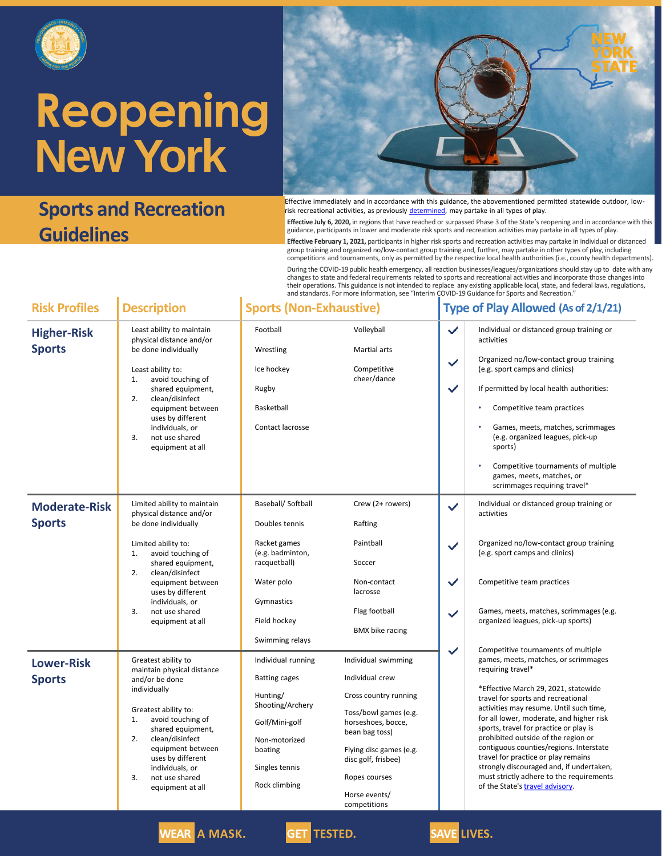

### **Sports and Recreation Guidelines**



Effective immediately and in accordance with this guidance, the abovementioned permitted statewide outdoor, lowrisk recreational activities, as previously [determined,](https://esd.ny.gov/guidance-executive-order-2026) may partake in all types of play.

**Effective July 6, 2020,** in regions that have reached or surpassed Phase 3 of the State's reopening and in accordance with this guidance, participants in lower and moderate risk sports and recreation activities may partake in all types of play.

**Effective February 1, 2021,** participants in higher risk sports and recreation activities may partake in individual or distanced group training and organized no/low-contact group training and, further, may partake in other types of play, including competitions and tournaments, only as permitted by the respective local health authorities (i.e., county health departments).

During the COVID-19 public health emergency, all reaction businesses/leagues/organizations should stay up to date with any changes to state and federal requirements related to sports and recreational activities and incorporate those changes into their operations. This guidance is not intended to replace any existing applicable local, state, and federal laws, regulations, and standards. For more information, see "Interim COVID-19 Guidance for Sports and Recreation."

| <b>Risk Profiles</b>                  | <b>Description</b>                                                                                                                                                                                                                                                                            | <b>Sports (Non-Exhaustive)</b>                                                                                                                              |                                                                                                                                                                                                                                      |                                                              | <b>Type of Play Allowed (As of 2/1/21)</b>                                                                                                                                                                                                                                                                                                                                                                                                                                                                                                                          |  |
|---------------------------------------|-----------------------------------------------------------------------------------------------------------------------------------------------------------------------------------------------------------------------------------------------------------------------------------------------|-------------------------------------------------------------------------------------------------------------------------------------------------------------|--------------------------------------------------------------------------------------------------------------------------------------------------------------------------------------------------------------------------------------|--------------------------------------------------------------|---------------------------------------------------------------------------------------------------------------------------------------------------------------------------------------------------------------------------------------------------------------------------------------------------------------------------------------------------------------------------------------------------------------------------------------------------------------------------------------------------------------------------------------------------------------------|--|
| <b>Higher-Risk</b><br><b>Sports</b>   | Least ability to maintain<br>physical distance and/or<br>be done individually<br>Least ability to:<br>avoid touching of<br>1.<br>shared equipment,<br>2.<br>clean/disinfect<br>equipment between<br>uses by different<br>individuals, or<br>3.<br>not use shared<br>equipment at all          | Football<br>Wrestling<br>Ice hockey<br>Rugby<br>Basketball<br>Contact lacrosse                                                                              | Volleyball<br><b>Martial arts</b><br>Competitive<br>cheer/dance                                                                                                                                                                      | $\checkmark$<br>$\checkmark$<br>✓                            | Individual or distanced group training or<br>activities<br>Organized no/low-contact group training<br>(e.g. sport camps and clinics)<br>If permitted by local health authorities:<br>Competitive team practices<br>Games, meets, matches, scrimmages<br>(e.g. organized leagues, pick-up<br>sports)<br>Competitive tournaments of multiple<br>٠<br>games, meets, matches, or<br>scrimmages requiring travel*                                                                                                                                                        |  |
| <b>Moderate-Risk</b><br><b>Sports</b> | Limited ability to maintain<br>physical distance and/or<br>be done individually<br>Limited ability to:<br>avoid touching of<br>1.<br>shared equipment,<br>2.<br>clean/disinfect<br>equipment between<br>uses by different<br>individuals, or<br>3.<br>not use shared<br>equipment at all      | Baseball/ Softball<br>Doubles tennis<br>Racket games<br>(e.g. badminton,<br>racquetball)<br>Water polo<br>Gymnastics<br>Field hockey<br>Swimming relays     | Crew (2+ rowers)<br>Rafting<br>Paintball<br>Soccer<br>Non-contact<br>lacrosse<br>Flag football<br><b>BMX</b> bike racing                                                                                                             | $\checkmark$<br>$\checkmark$<br>$\checkmark$<br>$\checkmark$ | Individual or distanced group training or<br>activities<br>Organized no/low-contact group training<br>(e.g. sport camps and clinics)<br>Competitive team practices<br>Games, meets, matches, scrimmages (e.g.<br>organized leagues, pick-up sports)                                                                                                                                                                                                                                                                                                                 |  |
| <b>Lower-Risk</b><br><b>Sports</b>    | Greatest ability to<br>maintain physical distance<br>and/or be done<br>individually<br>Greatest ability to:<br>1.<br>avoid touching of<br>shared equipment,<br>2.<br>clean/disinfect<br>equipment between<br>uses by different<br>individuals, or<br>3.<br>not use shared<br>equipment at all | Individual running<br><b>Batting cages</b><br>Hunting/<br>Shooting/Archery<br>Golf/Mini-golf<br>Non-motorized<br>boating<br>Singles tennis<br>Rock climbing | Individual swimming<br>Individual crew<br>Cross country running<br>Toss/bowl games (e.g.<br>horseshoes, bocce,<br>bean bag toss)<br>Flying disc games (e.g.<br>disc golf, frisbee)<br>Ropes courses<br>Horse events/<br>competitions | $\checkmark$                                                 | Competitive tournaments of multiple<br>games, meets, matches, or scrimmages<br>requiring travel*<br>*Effective March 29, 2021, statewide<br>travel for sports and recreational<br>activities may resume. Until such time,<br>for all lower, moderate, and higher risk<br>sports, travel for practice or play is<br>prohibited outside of the region or<br>contiguous counties/regions. Interstate<br>travel for practice or play remains<br>strongly discouraged and, if undertaken,<br>must strictly adhere to the requirements<br>of the State's travel advisory. |  |



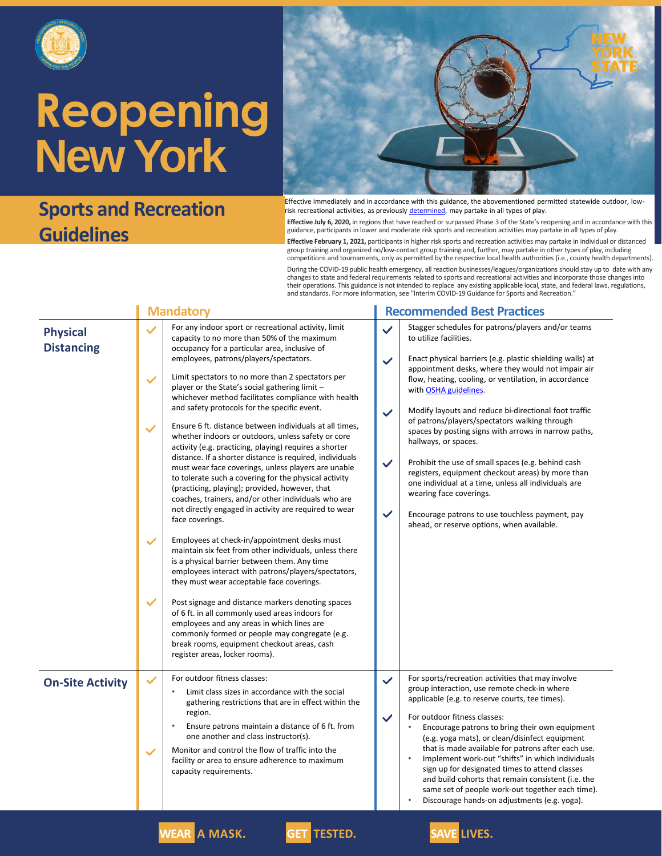

#### **Sports and Recreation Guidelines**



Effective immediately and in accordance with this guidance, the abovementioned permitted statewide outdoor, lowrisk recreational activities, as previously [determined,](https://esd.ny.gov/guidance-executive-order-2026) may partake in all types of play.

**Effective July 6, 2020,** in regions that have reached or surpassed Phase 3 of the State's reopening and in accordance with this guidance, participants in lower and moderate risk sports and recreation activities may partake in all types of play.

**Effective February 1, 2021,** participants in higher risk sports and recreation activities may partake in individual or distanced group training and organized no/low-contact group training and, further, may partake in other types of play, including competitions and tournaments, only as permitted by the respective local health authorities (i.e., county health departments).

During the COVID-19 public health emergency, all reaction businesses/leagues/organizations should stay up to date with any changes to state and federal requirements related to sports and recreational activities and incorporate those changes into their operations. This guidance is not intended to replace any existing applicable local, state, and federal laws, regulations, and standards. For more information, see "Interim COVID-19 Guidance for Sports and Recreation."

|                                      | <b>Mandatory</b>                                                                                                                                                                                                                                                                                                                                                                                                                                                                                                                                                                                                                                                                                                                                                                                                                                                                                                                                                                                                                                                                                                                                                                                                                                                                                                                                                                                                                                                                                                                                                                                | <b>Recommended Best Practices</b>                                                                                                                                                                                                                                                                                                                                                                                                                                                                                                                                                                                                                                                                                                                                                                                                                          |  |  |  |
|--------------------------------------|-------------------------------------------------------------------------------------------------------------------------------------------------------------------------------------------------------------------------------------------------------------------------------------------------------------------------------------------------------------------------------------------------------------------------------------------------------------------------------------------------------------------------------------------------------------------------------------------------------------------------------------------------------------------------------------------------------------------------------------------------------------------------------------------------------------------------------------------------------------------------------------------------------------------------------------------------------------------------------------------------------------------------------------------------------------------------------------------------------------------------------------------------------------------------------------------------------------------------------------------------------------------------------------------------------------------------------------------------------------------------------------------------------------------------------------------------------------------------------------------------------------------------------------------------------------------------------------------------|------------------------------------------------------------------------------------------------------------------------------------------------------------------------------------------------------------------------------------------------------------------------------------------------------------------------------------------------------------------------------------------------------------------------------------------------------------------------------------------------------------------------------------------------------------------------------------------------------------------------------------------------------------------------------------------------------------------------------------------------------------------------------------------------------------------------------------------------------------|--|--|--|
| <b>Physical</b><br><b>Distancing</b> | For any indoor sport or recreational activity, limit<br>$\checkmark$<br>capacity to no more than 50% of the maximum<br>occupancy for a particular area, inclusive of<br>employees, patrons/players/spectators.<br>Limit spectators to no more than 2 spectators per<br>$\checkmark$<br>player or the State's social gathering limit -<br>whichever method facilitates compliance with health<br>and safety protocols for the specific event.<br>Ensure 6 ft. distance between individuals at all times,<br>$\checkmark$<br>whether indoors or outdoors, unless safety or core<br>activity (e.g. practicing, playing) requires a shorter<br>distance. If a shorter distance is required, individuals<br>must wear face coverings, unless players are unable<br>to tolerate such a covering for the physical activity<br>(practicing, playing); provided, however, that<br>coaches, trainers, and/or other individuals who are<br>not directly engaged in activity are required to wear<br>face coverings.<br>$\checkmark$<br>Employees at check-in/appointment desks must<br>maintain six feet from other individuals, unless there<br>is a physical barrier between them. Any time<br>employees interact with patrons/players/spectators,<br>they must wear acceptable face coverings.<br>$\checkmark$<br>Post signage and distance markers denoting spaces<br>of 6 ft. in all commonly used areas indoors for<br>employees and any areas in which lines are<br>commonly formed or people may congregate (e.g.<br>break rooms, equipment checkout areas, cash<br>register areas, locker rooms). | Stagger schedules for patrons/players and/or teams<br>$\checkmark$<br>to utilize facilities.<br>Enact physical barriers (e.g. plastic shielding walls) at<br>$\checkmark$<br>appointment desks, where they would not impair air<br>flow, heating, cooling, or ventilation, in accordance<br>with OSHA guidelines.<br>Modify layouts and reduce bi-directional foot traffic<br>$\checkmark$<br>of patrons/players/spectators walking through<br>spaces by posting signs with arrows in narrow paths,<br>hallways, or spaces.<br>$\checkmark$<br>Prohibit the use of small spaces (e.g. behind cash<br>registers, equipment checkout areas) by more than<br>one individual at a time, unless all individuals are<br>wearing face coverings.<br>$\checkmark$<br>Encourage patrons to use touchless payment, pay<br>ahead, or reserve options, when available. |  |  |  |
| <b>On-Site Activity</b>              | For outdoor fitness classes:<br>$\checkmark$<br>Limit class sizes in accordance with the social<br>gathering restrictions that are in effect within the<br>region.<br>Ensure patrons maintain a distance of 6 ft. from<br>$\bullet$<br>one another and class instructor(s).<br>Monitor and control the flow of traffic into the<br>$\checkmark$<br>facility or area to ensure adherence to maximum<br>capacity requirements.                                                                                                                                                                                                                                                                                                                                                                                                                                                                                                                                                                                                                                                                                                                                                                                                                                                                                                                                                                                                                                                                                                                                                                    | For sports/recreation activities that may involve<br>$\checkmark$<br>group interaction, use remote check-in where<br>applicable (e.g. to reserve courts, tee times).<br>For outdoor fitness classes:<br>$\checkmark$<br>Encourage patrons to bring their own equipment<br>(e.g. yoga mats), or clean/disinfect equipment<br>that is made available for patrons after each use.<br>Implement work-out "shifts" in which individuals<br>sign up for designated times to attend classes<br>and build cohorts that remain consistent (i.e. the<br>same set of people work-out together each time).<br>Discourage hands-on adjustments (e.g. yoga).                                                                                                                                                                                                             |  |  |  |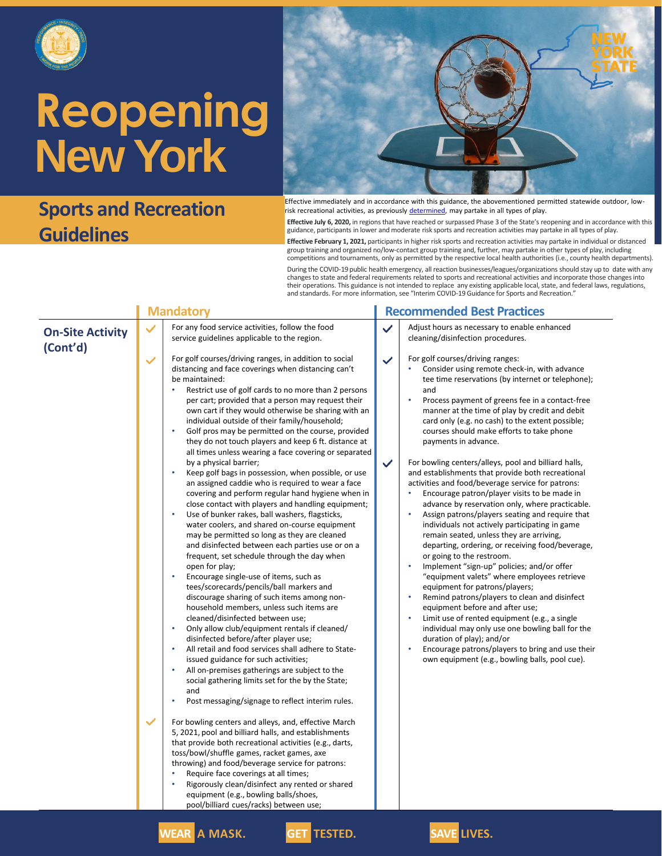

### **Sports and Recreation Guidelines**



Effective immediately and in accordance with this guidance, the abovementioned permitted statewide outdoor, lowrisk recreational activities, as previously [determined,](https://esd.ny.gov/guidance-executive-order-2026) may partake in all types of play.

**Effective July 6, 2020,** in regions that have reached or surpassed Phase 3 of the State's reopening and in accordance with this guidance, participants in lower and moderate risk sports and recreation activities may partake in all types of play.

**Effective February 1, 2021,** participants in higher risk sports and recreation activities may partake in individual or distanced group training and organized no/low-contact group training and, further, may partake in other types of play, including competitions and tournaments, only as permitted by the respective local health authorities (i.e., county health departments).

During the COVID-19 public health emergency, all reaction businesses/leagues/organizations should stay up to date with any changes to state and federal requirements related to sports and recreational activities and incorporate those changes into their operations. This guidance is not intended to replace any existing applicable local, state, and federal laws, regulations, and standards. For more information, see "Interim COVID-19 Guidance for Sports and Recreation."

|                                     |              | <b>Mandatory</b>                                                                                                                                                                                                                                                                                                                                                                                                                                                                                                                                                                                                                                                                                                                                                                                                                                                                                                                                                                                                                                                                                                                                                                                                                                                                                                                                                                                                                                                                                                                                                                                                                                                                                                                                                                                                                                                                                                                                                                                                                                                                                                                                                                                 |              | <b>Recommended Best</b>                                                                                                                                                                                                                                                                                                                                                                                                                                                                                                                                                                                                                                                                     |
|-------------------------------------|--------------|--------------------------------------------------------------------------------------------------------------------------------------------------------------------------------------------------------------------------------------------------------------------------------------------------------------------------------------------------------------------------------------------------------------------------------------------------------------------------------------------------------------------------------------------------------------------------------------------------------------------------------------------------------------------------------------------------------------------------------------------------------------------------------------------------------------------------------------------------------------------------------------------------------------------------------------------------------------------------------------------------------------------------------------------------------------------------------------------------------------------------------------------------------------------------------------------------------------------------------------------------------------------------------------------------------------------------------------------------------------------------------------------------------------------------------------------------------------------------------------------------------------------------------------------------------------------------------------------------------------------------------------------------------------------------------------------------------------------------------------------------------------------------------------------------------------------------------------------------------------------------------------------------------------------------------------------------------------------------------------------------------------------------------------------------------------------------------------------------------------------------------------------------------------------------------------------------|--------------|---------------------------------------------------------------------------------------------------------------------------------------------------------------------------------------------------------------------------------------------------------------------------------------------------------------------------------------------------------------------------------------------------------------------------------------------------------------------------------------------------------------------------------------------------------------------------------------------------------------------------------------------------------------------------------------------|
| <b>On-Site Activity</b><br>(Cont'd) | $\checkmark$ | For any food service activities, follow the food<br>service guidelines applicable to the region.                                                                                                                                                                                                                                                                                                                                                                                                                                                                                                                                                                                                                                                                                                                                                                                                                                                                                                                                                                                                                                                                                                                                                                                                                                                                                                                                                                                                                                                                                                                                                                                                                                                                                                                                                                                                                                                                                                                                                                                                                                                                                                 | $\checkmark$ | Adjust hours as necessar<br>cleaning/disinfection pro                                                                                                                                                                                                                                                                                                                                                                                                                                                                                                                                                                                                                                       |
|                                     |              | For golf courses/driving ranges, in addition to social<br>distancing and face coverings when distancing can't<br>be maintained:<br>Restrict use of golf cards to no more than 2 persons<br>$\bullet$<br>per cart; provided that a person may request their<br>own cart if they would otherwise be sharing with an<br>individual outside of their family/household;<br>Golf pros may be permitted on the course, provided<br>۰<br>they do not touch players and keep 6 ft. distance at<br>all times unless wearing a face covering or separated<br>by a physical barrier;<br>$\bullet$<br>Keep golf bags in possession, when possible, or use<br>an assigned caddie who is required to wear a face<br>covering and perform regular hand hygiene when in<br>close contact with players and handling equipment;<br>Use of bunker rakes, ball washers, flagsticks,<br>۰<br>water coolers, and shared on-course equipment<br>may be permitted so long as they are cleaned<br>and disinfected between each parties use or on a<br>frequent, set schedule through the day when<br>open for play;<br>$\bullet$<br>Encourage single-use of items, such as<br>tees/scorecards/pencils/ball markers and<br>discourage sharing of such items among non-<br>household members, unless such items are<br>cleaned/disinfected between use;<br>$\bullet$<br>Only allow club/equipment rentals if cleaned/<br>disinfected before/after player use;<br>All retail and food services shall adhere to State-<br>۰<br>issued guidance for such activities;<br>All on-premises gatherings are subject to the<br>ò<br>social gathering limits set for the by the State;<br>and<br>Post messaging/signage to reflect interim rules.<br>For bowling centers and alleys, and, effective March<br>5, 2021, pool and billiard halls, and establishments<br>that provide both recreational activities (e.g., darts,<br>toss/bowl/shuffle games, racket games, axe<br>throwing) and food/beverage service for patrons:<br>$\bullet$<br>Require face coverings at all times;<br>$\bullet$<br>Rigorously clean/disinfect any rented or shared<br>equipment (e.g., bowling balls/shoes,<br>pool/billiard cues/racks) between use; | $\checkmark$ | For golf courses/driving<br>Consider using remo<br>tee time reservation<br>and<br>Process payment of<br>manner at the time<br>card only (e.g. no ca<br>courses should mak<br>payments in advanc<br>For bowling centers/alle<br>and establishments that<br>activities and food/beve<br>Encourage patron/p<br>advance by reservat<br>Assign patrons/play<br>individuals not activ<br>remain seated, unle<br>departing, ordering,<br>or going to the restr<br>Implement "sign-up<br>"equipment valets"<br>equipment for patro<br>Remind patrons/pla<br>equipment before a<br>Limit use of rented e<br>individual may only<br>duration of play); ar<br>Encourage patrons/<br>own equipment (e.g |
|                                     |              | <b>WEAR A MASK.</b><br><b>GET TESTED.</b>                                                                                                                                                                                                                                                                                                                                                                                                                                                                                                                                                                                                                                                                                                                                                                                                                                                                                                                                                                                                                                                                                                                                                                                                                                                                                                                                                                                                                                                                                                                                                                                                                                                                                                                                                                                                                                                                                                                                                                                                                                                                                                                                                        |              | <b>SAVE LIVES.</b>                                                                                                                                                                                                                                                                                                                                                                                                                                                                                                                                                                                                                                                                          |

#### **Addata Best Practices**

- as necessary to enable enhanced fection procedures.
- es/driving ranges:
	- using remote check-in, with advance eservations (by internet or telephone);
	- ayment of greens fee in a contact-free t the time of play by credit and debit (e.g. no cash) to the extent possible; nould make efforts to take phone in advance.

enters/alleys, pool and billiard halls, ments that provide both recreational food/beverage service for patrons:

- e patron/player visits to be made in by reservation only, where practicable.
- rons/players seating and require that s not actively participating in game ated, unless they are arriving, , ordering, or receiving food/beverage, o the restroom.
- It "sign-up" policies; and/or offer nt valets" where employees retrieve at for patrons/players;
- atrons/players to clean and disinfect it before and after use;
- of rented equipment (e.g., a single may only use one bowling ball for the of play); and/or
- e patrons/players to bring and use their pment (e.g., bowling balls, pool cue).

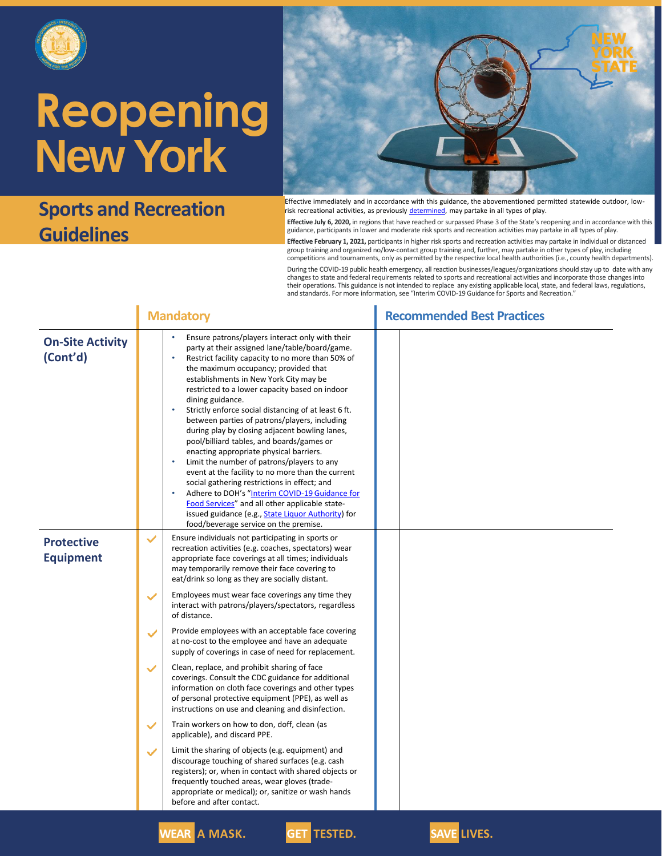

### **Sports and Recreation Guidelines**



Effective immediately and in accordance with this guidance, the abovementioned permitted statewide outdoor, lowrisk recreational activities, as previously [determined,](https://esd.ny.gov/guidance-executive-order-2026) may partake in all types of play.

**Effective July 6, 2020,** in regions that have reached or surpassed Phase 3 of the State's reopening and in accordance with this guidance, participants in lower and moderate risk sports and recreation activities may partake in all types of play.

**Effective February 1, 2021,** participants in higher risk sports and recreation activities may partake in individual or distanced group training and organized no/low-contact group training and, further, may partake in other types of play, including competitions and tournaments, only as permitted by the respective local health authorities (i.e., county health departments).

During the COVID-19 public health emergency, all reaction businesses/leagues/organizations should stay up to date with any changes to state and federal requirements related to sports and recreational activities and incorporate those changes into their operations. This guidance is not intended to replace any existing applicable local, state, and federal laws, regulations, and standards. For more information, see "Interim COVID-19 Guidance for Sports and Recreation."

|                                       | <b>Mandatory</b>                                                                                                                                                                                                                                                                                                                                                                                                                                                                                                                                                                                                                                                                                                                                                                                                                                                                                                                                  | <b>Recommended Best Practices</b> |  |  |
|---------------------------------------|---------------------------------------------------------------------------------------------------------------------------------------------------------------------------------------------------------------------------------------------------------------------------------------------------------------------------------------------------------------------------------------------------------------------------------------------------------------------------------------------------------------------------------------------------------------------------------------------------------------------------------------------------------------------------------------------------------------------------------------------------------------------------------------------------------------------------------------------------------------------------------------------------------------------------------------------------|-----------------------------------|--|--|
| <b>On-Site Activity</b><br>(Cont'd)   | Ensure patrons/players interact only with their<br>party at their assigned lane/table/board/game.<br>Restrict facility capacity to no more than 50% of<br>the maximum occupancy; provided that<br>establishments in New York City may be<br>restricted to a lower capacity based on indoor<br>dining guidance.<br>$\bullet$<br>Strictly enforce social distancing of at least 6 ft.<br>between parties of patrons/players, including<br>during play by closing adjacent bowling lanes,<br>pool/billiard tables, and boards/games or<br>enacting appropriate physical barriers.<br>Limit the number of patrons/players to any<br>event at the facility to no more than the current<br>social gathering restrictions in effect; and<br>Adhere to DOH's "Interim COVID-19 Guidance for<br>$\bullet$<br>Food Services" and all other applicable state-<br>issued guidance (e.g., State Liquor Authority) for<br>food/beverage service on the premise. |                                   |  |  |
| <b>Protective</b><br><b>Equipment</b> | Ensure individuals not participating in sports or<br>$\checkmark$<br>recreation activities (e.g. coaches, spectators) wear<br>appropriate face coverings at all times; individuals<br>may temporarily remove their face covering to<br>eat/drink so long as they are socially distant.                                                                                                                                                                                                                                                                                                                                                                                                                                                                                                                                                                                                                                                            |                                   |  |  |
|                                       | Employees must wear face coverings any time they<br>$\checkmark$<br>interact with patrons/players/spectators, regardless<br>of distance.                                                                                                                                                                                                                                                                                                                                                                                                                                                                                                                                                                                                                                                                                                                                                                                                          |                                   |  |  |
|                                       | Provide employees with an acceptable face covering<br>$\checkmark$<br>at no-cost to the employee and have an adequate<br>supply of coverings in case of need for replacement.                                                                                                                                                                                                                                                                                                                                                                                                                                                                                                                                                                                                                                                                                                                                                                     |                                   |  |  |
|                                       | $\checkmark$<br>Clean, replace, and prohibit sharing of face<br>coverings. Consult the CDC guidance for additional<br>information on cloth face coverings and other types<br>of personal protective equipment (PPE), as well as<br>instructions on use and cleaning and disinfection.                                                                                                                                                                                                                                                                                                                                                                                                                                                                                                                                                                                                                                                             |                                   |  |  |
|                                       | Train workers on how to don, doff, clean (as<br>$\checkmark$<br>applicable), and discard PPE.                                                                                                                                                                                                                                                                                                                                                                                                                                                                                                                                                                                                                                                                                                                                                                                                                                                     |                                   |  |  |
|                                       | Limit the sharing of objects (e.g. equipment) and<br>$\checkmark$<br>discourage touching of shared surfaces (e.g. cash<br>registers); or, when in contact with shared objects or<br>frequently touched areas, wear gloves (trade-<br>appropriate or medical); or, sanitize or wash hands<br>before and after contact.                                                                                                                                                                                                                                                                                                                                                                                                                                                                                                                                                                                                                             |                                   |  |  |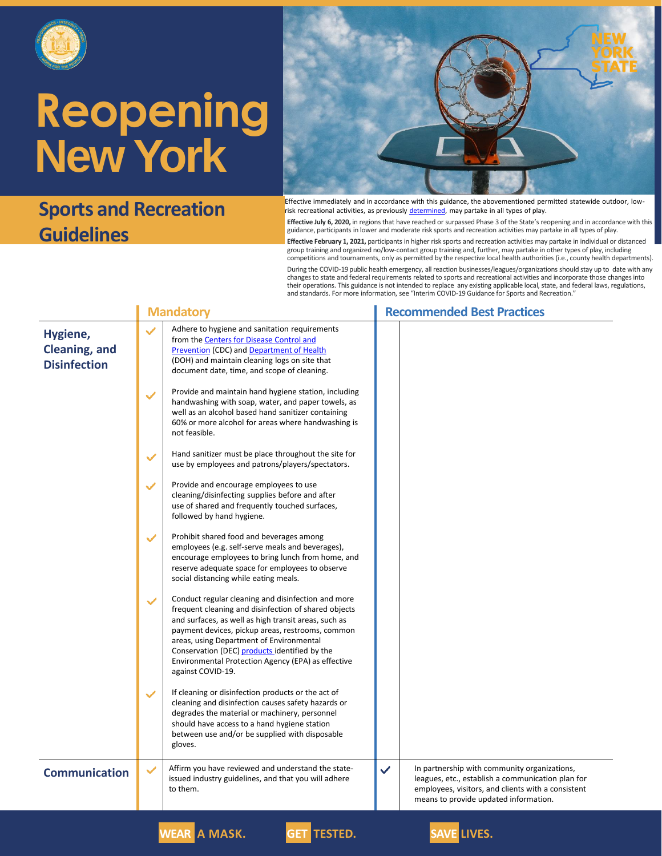

## **Sports and Recreation Guidelines**



Effective immediately and in accordance with this guidance, the abovementioned permitted statewide outdoor, lowrisk recreational activities, as previously [determined,](https://esd.ny.gov/guidance-executive-order-2026) may partake in all types of play.

**Effective July 6, 2020,** in regions that have reached or surpassed Phase 3 of the State's reopening and in accordance with this guidance, participants in lower and moderate risk sports and recreation activities may partake in all types of play.

**Effective February 1, 2021,** participants in higher risk sports and recreation activities may partake in individual or distanced group training and organized no/low-contact group training and, further, may partake in other types of play, including<br>competitions and tournaments, only as permitted by the respective local health authorities (i.e., count

During the COVID-19 public health emergency, all reaction businesses/leagues/organizations should stay up to date with any changes to state and federal requirements related to sports and recreational activities and incorporate those changes into<br>their operations. This guidance is not intended to replace any existing applicable local, state, a and standards. For more information, see "Interim COVID-19 Guidance for Sports and Recreation."

|                                                         | <b>Mandatory</b> |                                                                                                                                                                                                                                                                                                                                                                                                | <b>Recommended Best Practices</b> |                                                                                                                                                                                                  |  |
|---------------------------------------------------------|------------------|------------------------------------------------------------------------------------------------------------------------------------------------------------------------------------------------------------------------------------------------------------------------------------------------------------------------------------------------------------------------------------------------|-----------------------------------|--------------------------------------------------------------------------------------------------------------------------------------------------------------------------------------------------|--|
| Hygiene,<br><b>Cleaning, and</b><br><b>Disinfection</b> | $\checkmark$     | Adhere to hygiene and sanitation requirements<br>from the Centers for Disease Control and<br>Prevention (CDC) and Department of Health<br>(DOH) and maintain cleaning logs on site that<br>document date, time, and scope of cleaning.                                                                                                                                                         |                                   |                                                                                                                                                                                                  |  |
|                                                         | $\checkmark$     | Provide and maintain hand hygiene station, including<br>handwashing with soap, water, and paper towels, as<br>well as an alcohol based hand sanitizer containing<br>60% or more alcohol for areas where handwashing is<br>not feasible.                                                                                                                                                        |                                   |                                                                                                                                                                                                  |  |
|                                                         | $\checkmark$     | Hand sanitizer must be place throughout the site for<br>use by employees and patrons/players/spectators.                                                                                                                                                                                                                                                                                       |                                   |                                                                                                                                                                                                  |  |
|                                                         | $\checkmark$     | Provide and encourage employees to use<br>cleaning/disinfecting supplies before and after<br>use of shared and frequently touched surfaces,<br>followed by hand hygiene.                                                                                                                                                                                                                       |                                   |                                                                                                                                                                                                  |  |
|                                                         | $\checkmark$     | Prohibit shared food and beverages among<br>employees (e.g. self-serve meals and beverages),<br>encourage employees to bring lunch from home, and<br>reserve adequate space for employees to observe<br>social distancing while eating meals.                                                                                                                                                  |                                   |                                                                                                                                                                                                  |  |
|                                                         | $\checkmark$     | Conduct regular cleaning and disinfection and more<br>frequent cleaning and disinfection of shared objects<br>and surfaces, as well as high transit areas, such as<br>payment devices, pickup areas, restrooms, common<br>areas, using Department of Environmental<br>Conservation (DEC) products identified by the<br>Environmental Protection Agency (EPA) as effective<br>against COVID-19. |                                   |                                                                                                                                                                                                  |  |
|                                                         | $\checkmark$     | If cleaning or disinfection products or the act of<br>cleaning and disinfection causes safety hazards or<br>degrades the material or machinery, personnel<br>should have access to a hand hygiene station<br>between use and/or be supplied with disposable<br>gloves.                                                                                                                         |                                   |                                                                                                                                                                                                  |  |
| <b>Communication</b>                                    | ✓                | Affirm you have reviewed and understand the state-<br>issued industry guidelines, and that you will adhere<br>to them.                                                                                                                                                                                                                                                                         | ✓                                 | In partnership with community organizations,<br>leagues, etc., establish a communication plan for<br>employees, visitors, and clients with a consistent<br>means to provide updated information. |  |
|                                                         |                  |                                                                                                                                                                                                                                                                                                                                                                                                |                                   |                                                                                                                                                                                                  |  |